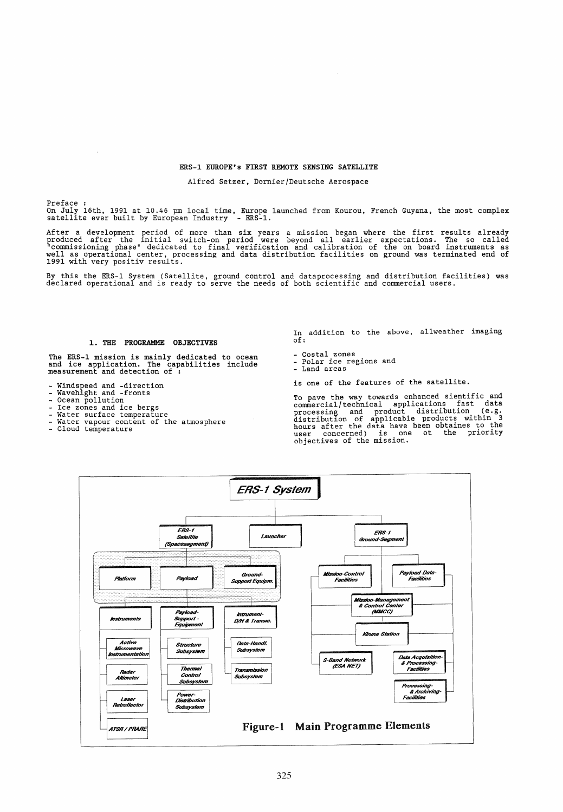#### ERS-1 EUROPE's FIRST REMOTE SENSING SATELLITE

# Alfred Setzer, Dornier/Deutsche Aerospace

Preface :<br>On July 16th, 1991 at 10.46 pm local time, Europe launched from Kourou, French Guyana, the most complex<br>satellite ever built by European Industry - ERS-1.

After a development period of more than six years a mission began where the first results already produced after the initial switch-on period were beyond all earlier expectations. The so called "commissioning phase" dedicated to final verification and calibration of the on board instruments as<br>well as operational center, processing and data distribution facilities on ground was terminated end of<br>1991 with very po

By this the ERS-1 System (Satellite, ground control and dataprocessing and distribution facilities) was declared operational and is ready to serve the needs of both scientific and commercial users.

## 1. THE PROGRAMME OBJECTIVES

The ERS-1 mission is mainly dedicated to ocean<br>and ice application. The capabilities include<br>measurement and detection of :

- 
- 
- 
- 
- 
- Windspeed and -direction<br>- Wavehight and -fronts<br>- Ocean pollution<br>- Lee zones and ice bergs<br>- Water surface temperature<br>- Water vapour content of the atmosphere<br>- Cloud temperature
- 

In addition to the above, allweather imaging of:

- Costal zones Polar ice regions and Land areas
- 
- 

is one of the features of the satellite.

To pave the way towards enhanced sientific and commercial/technical applications fast data processing and product distribution (e.g. distribution of applicable products within 3 hours after the data have been obtaines to the user concerned) is one ot the priority objectives of the mission.

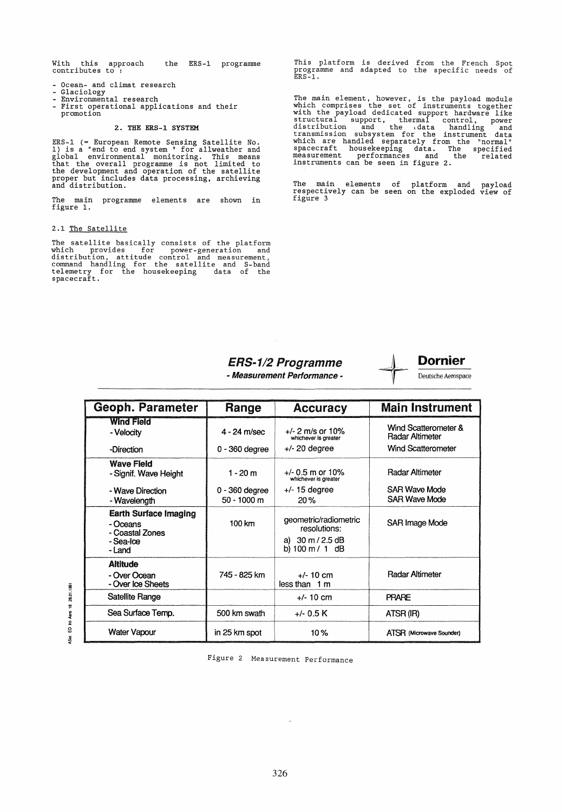With this approach the ERS-1 programme<br>contributes to:

- 
- 
- Ocean- and climat research<br>- Glaciology<br>- Environmental research<br>- First operational applications and their promotion

# 2. THE ERS-l SYSTEM

ERS-l (= European Remote Sensing Satellite No. 1) is a "end to end system" for allweather and global environmental monitoring. This means that the overall progranune is not limited to the development and operation of the satellite proper but includes data processing, archieving and distribution.

The main programme elements are shown in figure 1.

# 2.1 The Satellite

The satellite basically consists of the platform<br>which provides for power-generation and<br>distribution, attitude control and measurement,<br>command handling for the satellite and S-band<br>telemetry for the housekeeping data of

This platform is derived from the French Spot progranune and adapted to the specific needs of ERS-I.

The main element, however, is the payload module which comprises the set of instruments together with the payload dedicated support hardware like structural support, thermal control, power<br>distribution and the data handling and<br>transmission subsystem for the instrument data<br>which are handled separately from the "normal"<br>spacecraft housekeeping data. The specified<br>me

The main elements of platform and payload respectively can be seen on the exploded view of figure 3



|                                                                                    | <b>ERS-1/2 Programme</b><br>- Measurement Performance - |                                                                                                                  | <b>Dornier</b><br>Deutsche Aerospace    |  |
|------------------------------------------------------------------------------------|---------------------------------------------------------|------------------------------------------------------------------------------------------------------------------|-----------------------------------------|--|
| <b>Geoph. Parameter</b>                                                            | Range                                                   | <b>Accuracy</b>                                                                                                  | <b>Main Instrument</b>                  |  |
| <b>Wind Field</b><br>- Velocity                                                    | $4 - 24$ m/sec                                          | $+/- 2$ m/s or 10%<br>whichever is greater                                                                       | Wind Scatterometer &<br>Radar Altimeter |  |
| -Direction                                                                         | 0 - 360 degree                                          | $+/- 20$ degree                                                                                                  | <b>Wind Scatterometer</b>               |  |
| <b>Wave Field</b><br>- Signif. Wave Height                                         | $1 - 20$ m                                              | $+/- 0.5$ m or 10%<br>whichever is greater                                                                       | Radar Altimeter                         |  |
| - Wave Direction<br>- Wavelength                                                   | $0 - 360$ degree<br>$50 - 1000$ m                       | $+/-$ 15 degree<br>20%                                                                                           | <b>SAR Wave Mode</b><br>SAR Wave Mode   |  |
| <b>Earth Surface Imaging</b><br>- Oceans<br>- Coastal Zones<br>- Sea-Ice<br>- Land | 100 km                                                  | geometric/radiometric<br>resolutions:<br>a) $30 \text{ m} / 2.5 \text{ dB}$<br>b) $100 \text{ m} / 1 \text{ dB}$ | SAR Image Mode                          |  |
| <b>Altitude</b><br>- Over Ocean<br>- Over Ice Sheets                               | 745 - 825 km                                            | $+/- 10$ cm<br>less than 1 m                                                                                     | Radar Altimeter                         |  |
| Satellite Range                                                                    |                                                         | $+/- 10$ cm                                                                                                      | <b>PRARE</b>                            |  |
| Sea Surface Temp.                                                                  | 500 km swath                                            | $+/- 0.5 K$                                                                                                      | ATSR (IR)                               |  |
| Water Vapour                                                                       | in 25 km spot                                           | 10%                                                                                                              | ATSR (Microwave Sounder)                |  |

Figure 2 Measurement Performance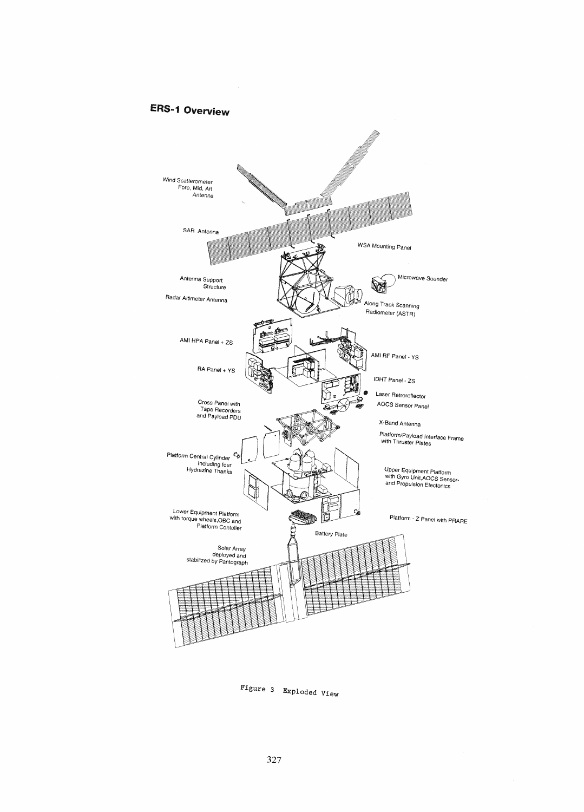# **ERS .. 1 Overview**



Figure 3 Exploded View

 $\hat{\boldsymbol{\gamma}}$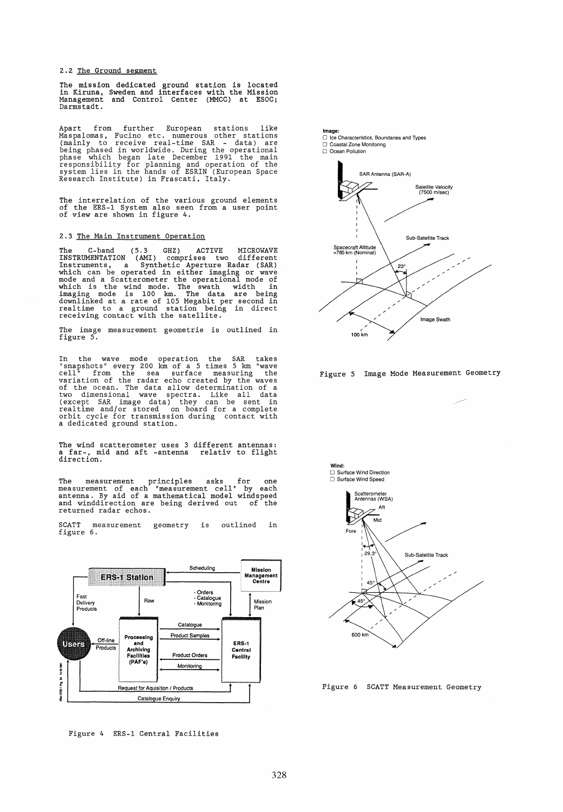2.2 The Ground segment

The mission dedicated ground station is located in Kiruna, Sweden and interfaces with the Mission Management and Control Center (MMCC) at ESOC; Darmstadt.

Apart from further European stations like<br>Maspalomas, Fucino etc. numerous other stations<br>(mainly to receive real-time SAR - data) are<br>being phased in worldwide. During the operational<br>phase which began late December 1991

The interrelation of the various ground elements of the ERS-1 System also seen from a user point of view are shown in figure 4.

# 2.3 The Main Instrument Operation

The C-band (5.3 GHZ) ACTIVE MICROWAVE<br>INSTRUMENTATION (AMI) comprises two different<br>Instruments, a Synthetic Aperture Radar (SAR)<br>which can be operated in either imaging or wave<br>mode and a Scatterometer the operational mod

The image measurement geometrie is outlined in figure 5.

In the wave mode operation the SAR takes "snapshots" every 200 km of a 5 times 5 km "wave cell" from the sea surface measuring the veraintion of the radar echo created by the waves of the ocean. The data allow determinatio

The wind scatterometer uses 3 different antennas: a far-, mid and aft -antenna relativ to flight direction.

The measurement principles asks for one measurement of each "measurement cell" by each antenna. By aid of a mathematical model windspeed and winddirection are being derived out of the returned radar echos.

SCATT measurement geometry is outlined in figure 6.



Figure 4 ERS-1 Central Facilities



Image:





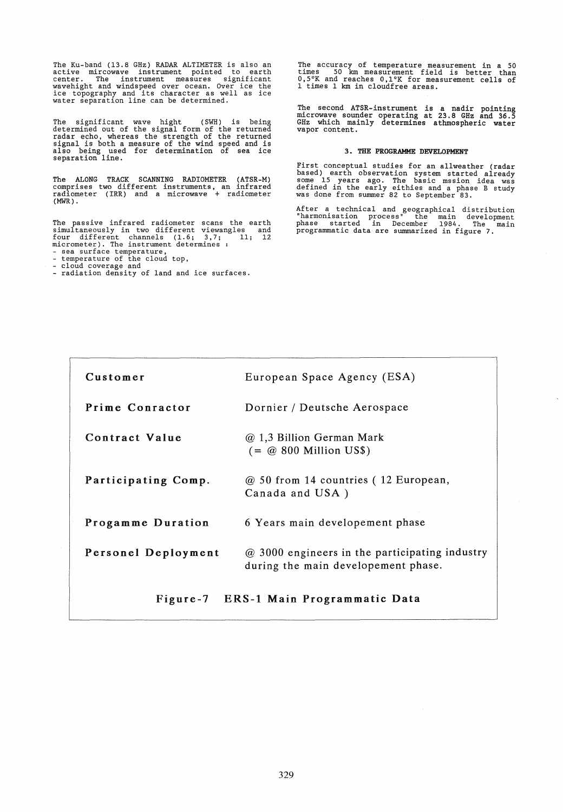The Ku-band (13.8 GHz) RADAR ALTIMETER is also an active mircowave instrument pointed to earth center. The instrument measures significant wavehight and windspeed over ocean. Over ice the ice topography and its character as well as ice water separation line can be determined.

The significant wave hight (SWH) is being<br>determined out of the signal form of the returned<br>radar echo, whereas the strength of the returned<br>signal is both a measure of the wind speed and is<br>also being used for determinati

The ALONG TRACK SCANNING RADIOMETER (ATSR-M) comprises two different instruments, an infrared radiometer (IRR) and a microwave + radiometer  $(MWR)$ .

The passive infrared radiometer scans the earth simul taneously in two different viewangles and four different channels (1.6; 3,7; 11; 12 micrometer). The instrument determines<br>- sea surface temperature,<br>- temperature of the cloud top,<br>- cloud coverage and

- 
- 
- radiation density of land and ice surfaces.

The accuracy of temperature measurement in a 50 times 50 km measurement field is better than 0,5°K and reaches O,l°K for measurement cells of 1 times 1 km in cloudfree areas.

The second ATSR-instrument is a nadir pointing microwave sounder operating at 23.8 GHz and 36.5 GHz which mainly determines athmospheric water vapor content.

# 3. THE PROGRAMME DEVELOPMENT

First conceptual studies for an allweather (radar based) earth observation system started already some 15 years ago. The basic mssion idea was defined in the early eithies and a phase B study was done from summer 82 to September 83.

After a technical and geographical distribution "harmonisation process" the main development phase started in December 1984. The main programmatic data are summarized in figure 7.

| Customer                              | European Space Agency (ESA)                                                           |  |  |
|---------------------------------------|---------------------------------------------------------------------------------------|--|--|
| Prime Conractor                       | Dornier / Deutsche Aerospace                                                          |  |  |
| Contract Value                        | @ 1,3 Billion German Mark<br>$( = \textcircled{a} 800$ Million US\$)                  |  |  |
| Participating Comp.                   | @ 50 from 14 countries (12 European,<br>Canada and USA)                               |  |  |
| Progamme Duration                     | 6 Years main developement phase                                                       |  |  |
| Personel Deployment                   | @ 3000 engineers in the participating industry<br>during the main developement phase. |  |  |
| Figure-7 ERS-1 Main Programmatic Data |                                                                                       |  |  |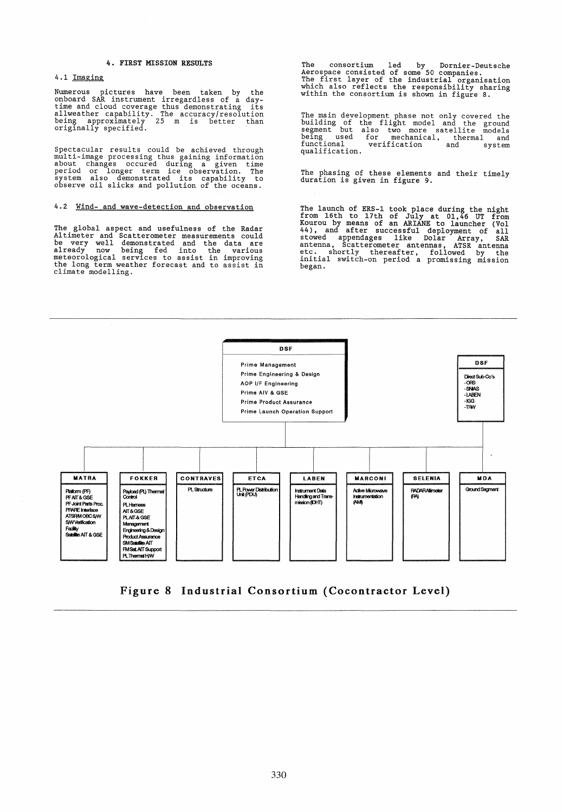## 4. FIRST MISSION RESULTS

#### 4.1 Imaging

Numerous pictures have been taken by the<br>onboard SAR instrument irregardless of a day-<br>time and cloud coverage thus demonstrating its<br>allweather capability. The accuracy/resolution<br>being approximately 25 m is better than<br>o

Spectacular results could be achieved through<br>multi-image processing thus gaining information<br>about changes occured during a given time<br>period or longer term ice observation. The<br>system also demonstrated its capability to<br>

# 4.2 Wind- and wave-detection and observation

The global aspect and usefulness of the Radar<br>Altimeter and Scatterometer measurements could<br>be very well demonstrated and the data are<br>already now being fed into the various<br>meteorological services to assist in improving<br>

The consortium led by Dornier-Deutsche Aerospace consisted of same 50 companies. The first layer of the industrial organisation which also reflects the responsibility sharing within the consortium is shown in figure 8.

The main development phase not only covered the<br>building of the flight model and the ground<br>segment but also two more satellite models<br>being used for mechanical, thermal and<br>functional verification and system<br>qualification

The phasing of these elements and their timely duration is given in figure 9.

The launch of ERS-1 took place during the night<br>from 16th to 17th of July at 01,46 UT from<br>Kourou by means of an ARIANE to launcher (Vol<br>44), and after successful deployment of all<br>stowed appendages like Dolar Array, SAR<br>a began.



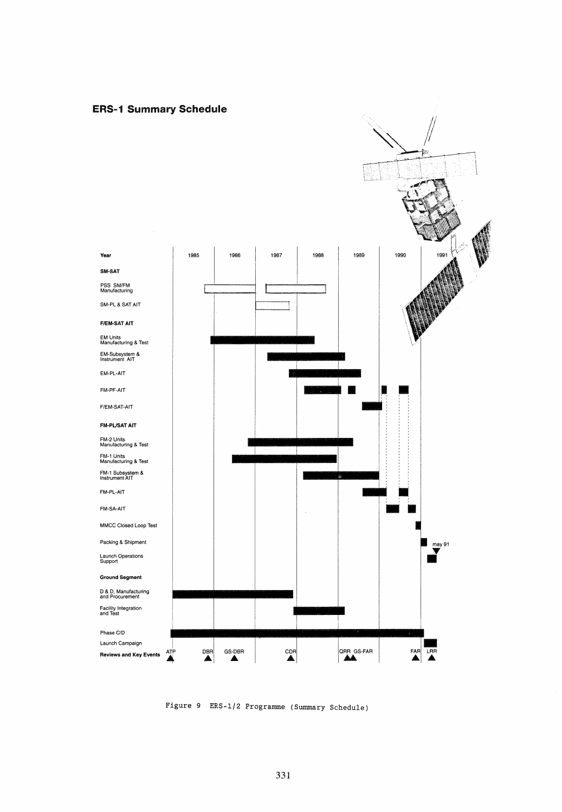



Figure 9 ERS-l/2 Programme (Summary Schedule)